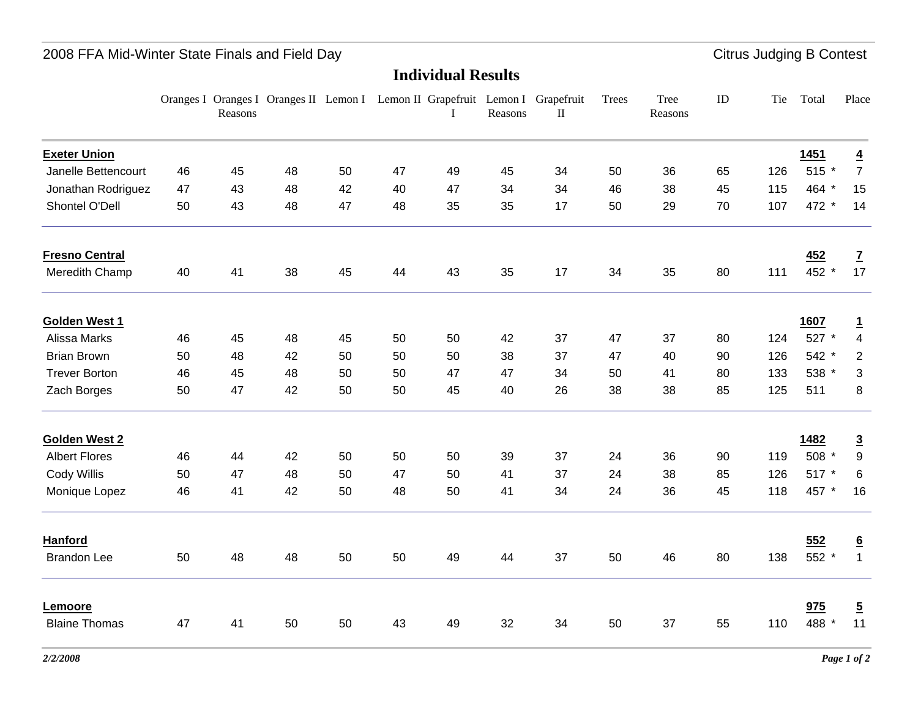## 2008 FFA Mid-Winter State Finals and Field Day **Citrus Judging B Contest Citrus Judging B Contest**

### **Individual Results**

|                       |    | Reasons |    |    |    | Oranges I Oranges I Oranges II Lemon I Lemon II Grapefruit Lemon I Grapefruit | Reasons | $\mathbf{I}$ | Trees | Tree<br>Reasons | ID | Tie | Total       | Place           |
|-----------------------|----|---------|----|----|----|-------------------------------------------------------------------------------|---------|--------------|-------|-----------------|----|-----|-------------|-----------------|
| <b>Exeter Union</b>   |    |         |    |    |    |                                                                               |         |              |       |                 |    |     | <b>1451</b> | $\overline{4}$  |
| Janelle Bettencourt   | 46 | 45      | 48 | 50 | 47 | 49                                                                            | 45      | 34           | 50    | 36              | 65 | 126 | 515 *       | $\overline{7}$  |
| Jonathan Rodriguez    | 47 | 43      | 48 | 42 | 40 | 47                                                                            | 34      | 34           | 46    | 38              | 45 | 115 | 464 *       | 15              |
| Shontel O'Dell        | 50 | 43      | 48 | 47 | 48 | 35                                                                            | 35      | 17           | 50    | 29              | 70 | 107 | 472 *       | 14              |
| <b>Fresno Central</b> |    |         |    |    |    |                                                                               |         |              |       |                 |    |     | 452         | $\overline{z}$  |
| Meredith Champ        | 40 | 41      | 38 | 45 | 44 | 43                                                                            | 35      | 17           | 34    | 35              | 80 | 111 | 452 *       | 17              |
| Golden West 1         |    |         |    |    |    |                                                                               |         |              |       |                 |    |     | 1607        | $\mathbf{1}$    |
| Alissa Marks          | 46 | 45      | 48 | 45 | 50 | 50                                                                            | 42      | 37           | 47    | 37              | 80 | 124 | 527 *       | $\overline{4}$  |
| <b>Brian Brown</b>    | 50 | 48      | 42 | 50 | 50 | 50                                                                            | 38      | 37           | 47    | 40              | 90 | 126 | 542 *       | $\overline{2}$  |
| <b>Trever Borton</b>  | 46 | 45      | 48 | 50 | 50 | 47                                                                            | 47      | 34           | 50    | 41              | 80 | 133 | 538 *       | 3               |
| Zach Borges           | 50 | 47      | 42 | 50 | 50 | 45                                                                            | 40      | 26           | 38    | 38              | 85 | 125 | 511         | 8               |
| <b>Golden West 2</b>  |    |         |    |    |    |                                                                               |         |              |       |                 |    |     | 1482        | $\overline{3}$  |
| <b>Albert Flores</b>  | 46 | 44      | 42 | 50 | 50 | 50                                                                            | 39      | 37           | 24    | 36              | 90 | 119 | 508 *       | 9               |
| Cody Willis           | 50 | 47      | 48 | 50 | 47 | 50                                                                            | 41      | 37           | 24    | 38              | 85 | 126 | 517 *       | 6               |
| Monique Lopez         | 46 | 41      | 42 | 50 | 48 | 50                                                                            | 41      | 34           | 24    | 36              | 45 | 118 | 457 *       | 16              |
| Hanford               |    |         |    |    |    |                                                                               |         |              |       |                 |    |     | 552         | $\underline{6}$ |
| <b>Brandon Lee</b>    | 50 | 48      | 48 | 50 | 50 | 49                                                                            | 44      | 37           | 50    | 46              | 80 | 138 | 552 *       | $\mathbf{1}$    |
| Lemoore               |    |         |    |    |    |                                                                               |         |              |       |                 |    |     | 975         | $\overline{5}$  |
| <b>Blaine Thomas</b>  | 47 | 41      | 50 | 50 | 43 | 49                                                                            | 32      | 34           | 50    | 37              | 55 | 110 | 488 *       | 11              |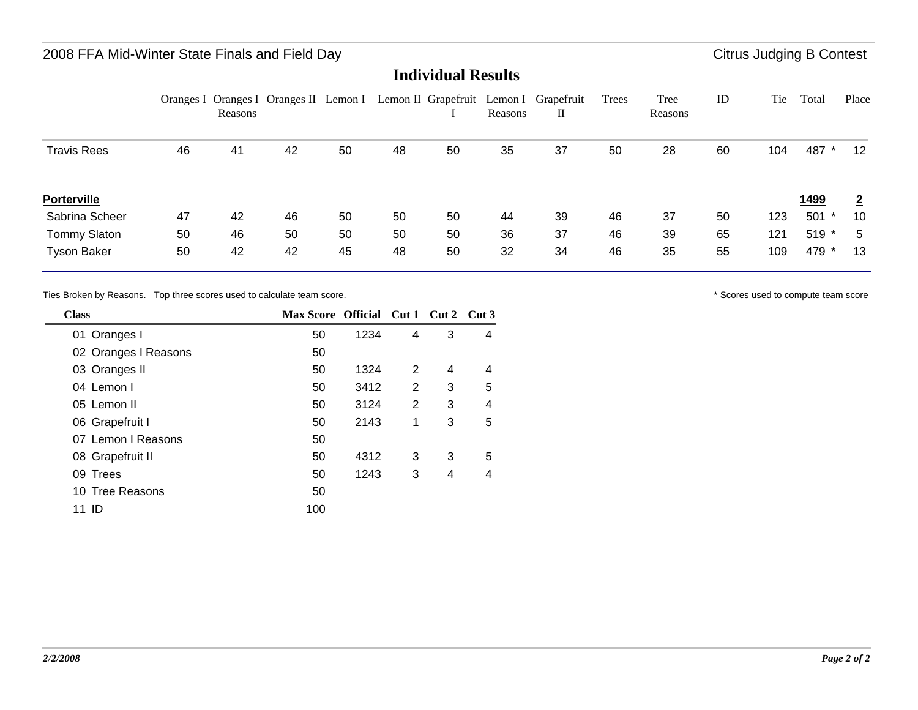### 2008 FFA Mid-Winter State Finals and Field Day **Citrus Judging B Contest Citrus Judging B Contest**

**Individual Results**

|                     |    | Reasons | Oranges I Oranges I Oranges II Lemon I |    |    |    | Reasons | Lemon II Grapefruit Lemon I Grapefruit<br>П | Trees | Tree<br>Reasons | ID | Tie | Total        | Place          |
|---------------------|----|---------|----------------------------------------|----|----|----|---------|---------------------------------------------|-------|-----------------|----|-----|--------------|----------------|
| Travis Rees         | 46 | 41      | 42                                     | 50 | 48 | 50 | 35      | 37                                          | 50    | 28              | 60 | 104 | 487          | $12 \,$        |
| <b>Porterville</b>  |    |         |                                        |    |    |    |         |                                             |       |                 |    |     | <u> 1499</u> | $\overline{2}$ |
| Sabrina Scheer      | 47 | 42      | 46                                     | 50 | 50 | 50 | 44      | 39                                          | 46    | 37              | 50 | 123 | 501<br>*     | 10             |
| <b>Tommy Slaton</b> | 50 | 46      | 50                                     | 50 | 50 | 50 | 36      | 37                                          | 46    | 39              | 65 | 121 | 519 *        | 5              |
| <b>Tyson Baker</b>  | 50 | 42      | 42                                     | 45 | 48 | 50 | 32      | 34                                          | 46    | 35              | 55 | 109 | 479 *        | 13             |

Ties Broken by Reasons. Top three scores used to calculate team score.  $\bullet$  \* Scores used to compute team score  $\bullet$  Scores used to compute team score

| <b>Class</b>         | Max Score Official Cut 1 Cut 2 Cut 3 |      |                |   |   |
|----------------------|--------------------------------------|------|----------------|---|---|
| 01 Oranges I         | 50                                   | 1234 | $\overline{4}$ | 3 | 4 |
| 02 Oranges I Reasons | 50                                   |      |                |   |   |
| 03 Oranges II        | 50                                   | 1324 | 2              | 4 | 4 |
| 04 Lemon I           | 50                                   | 3412 | 2              | 3 | 5 |
| 05 Lemon II          | 50                                   | 3124 | 2              | 3 | 4 |
| 06 Grapefruit I      | 50                                   | 2143 | 1              | 3 | 5 |
| 07 Lemon I Reasons   | 50                                   |      |                |   |   |
| 08 Grapefruit II     | 50                                   | 4312 | 3              | 3 | 5 |
| 09 Trees             | 50                                   | 1243 | 3              | 4 | 4 |
| 10 Tree Reasons      | 50                                   |      |                |   |   |
| -ID<br>11            | 100                                  |      |                |   |   |

۰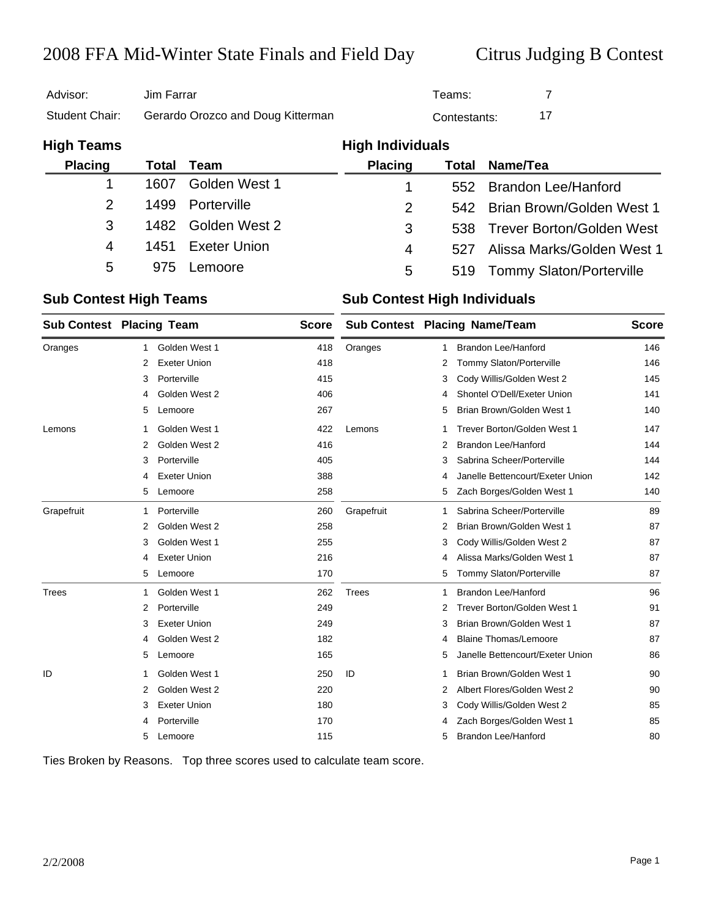# 2008 FFA Mid-Winter State Finals and Field Day Citrus Judging B Contest

| Advisor:       | Jim Farrar                        | Teams:       |  |
|----------------|-----------------------------------|--------------|--|
| Student Chair: | Gerardo Orozco and Doug Kitterman | Contestants: |  |

| <b>High Teams</b> |      |                     | <b>High Individuals</b> |     |                               |
|-------------------|------|---------------------|-------------------------|-----|-------------------------------|
| <b>Placing</b>    |      | Total Team          | <b>Placing</b>          |     | <b>Total Name/Tea</b>         |
|                   | 1607 | Golden West 1       | 1                       |     | 552 Brandon Lee/Hanford       |
| $\mathcal{P}$     | 1499 | Porterville         | 2                       |     | 542 Brian Brown/Golden West 1 |
| 3                 |      | 1482 Golden West 2  | 3                       |     | 538 Trever Borton/Golden West |
| 4                 | 1451 | <b>Exeter Union</b> | 4                       | 527 | Alissa Marks/Golden West 1    |
| 5                 | 975  | Lemoore             | 5                       |     | 519 Tommy Slaton/Porterville  |

### **Sub Contest High Teams Sub Contest High Individuals**

|            |    | <b>Sub Contest Placing Team</b> |     | Sub Contest Placing Name/Team |   | <b>Score</b>                     |     |
|------------|----|---------------------------------|-----|-------------------------------|---|----------------------------------|-----|
| Oranges    | 1  | Golden West 1                   | 418 | Oranges                       | 1 | <b>Brandon Lee/Hanford</b>       | 146 |
|            | 2  | <b>Exeter Union</b>             | 418 |                               | 2 | Tommy Slaton/Porterville         | 146 |
|            | 3  | Porterville                     | 415 |                               | 3 | Cody Willis/Golden West 2        | 145 |
|            | 4  | Golden West 2                   | 406 |                               | 4 | Shontel O'Dell/Exeter Union      | 141 |
|            | 5  | Lemoore                         | 267 |                               | 5 | Brian Brown/Golden West 1        | 140 |
| Lemons     | 1  | Golden West 1                   | 422 | Lemons                        | 1 | Trever Borton/Golden West 1      | 147 |
|            | 2  | Golden West 2                   | 416 |                               | 2 | <b>Brandon Lee/Hanford</b>       | 144 |
|            | 3  | Porterville                     | 405 |                               | 3 | Sabrina Scheer/Porterville       | 144 |
|            | 4  | <b>Exeter Union</b>             | 388 |                               | 4 | Janelle Bettencourt/Exeter Union | 142 |
|            | 5  | Lemoore                         | 258 |                               | 5 | Zach Borges/Golden West 1        | 140 |
| Grapefruit | -1 | Porterville                     | 260 | Grapefruit                    | 1 | Sabrina Scheer/Porterville       | 89  |
|            | 2  | Golden West 2                   | 258 |                               | 2 | Brian Brown/Golden West 1        | 87  |
|            | 3  | Golden West 1                   | 255 |                               | 3 | Cody Willis/Golden West 2        | 87  |
|            | 4  | <b>Exeter Union</b>             | 216 |                               | 4 | Alissa Marks/Golden West 1       | 87  |
|            | 5  | Lemoore                         | 170 |                               | 5 | Tommy Slaton/Porterville         | 87  |
| Trees      | 1  | Golden West 1                   | 262 | <b>Trees</b>                  | 1 | Brandon Lee/Hanford              | 96  |
|            | 2  | Porterville                     | 249 |                               | 2 | Trever Borton/Golden West 1      | 91  |
|            | 3  | <b>Exeter Union</b>             | 249 |                               | 3 | Brian Brown/Golden West 1        | 87  |
|            | 4  | Golden West 2                   | 182 |                               | 4 | <b>Blaine Thomas/Lemoore</b>     | 87  |
|            | 5  | Lemoore                         | 165 |                               | 5 | Janelle Bettencourt/Exeter Union | 86  |
| ID         | -1 | Golden West 1                   | 250 | ID                            | 1 | Brian Brown/Golden West 1        | 90  |
|            | 2  | Golden West 2                   | 220 |                               | 2 | Albert Flores/Golden West 2      | 90  |
|            | 3  | <b>Exeter Union</b>             | 180 |                               | 3 | Cody Willis/Golden West 2        | 85  |
|            | 4  | Porterville                     | 170 |                               | 4 | Zach Borges/Golden West 1        | 85  |
|            | 5  | Lemoore                         | 115 |                               | 5 | <b>Brandon Lee/Hanford</b>       | 80  |

Ties Broken by Reasons. Top three scores used to calculate team score.